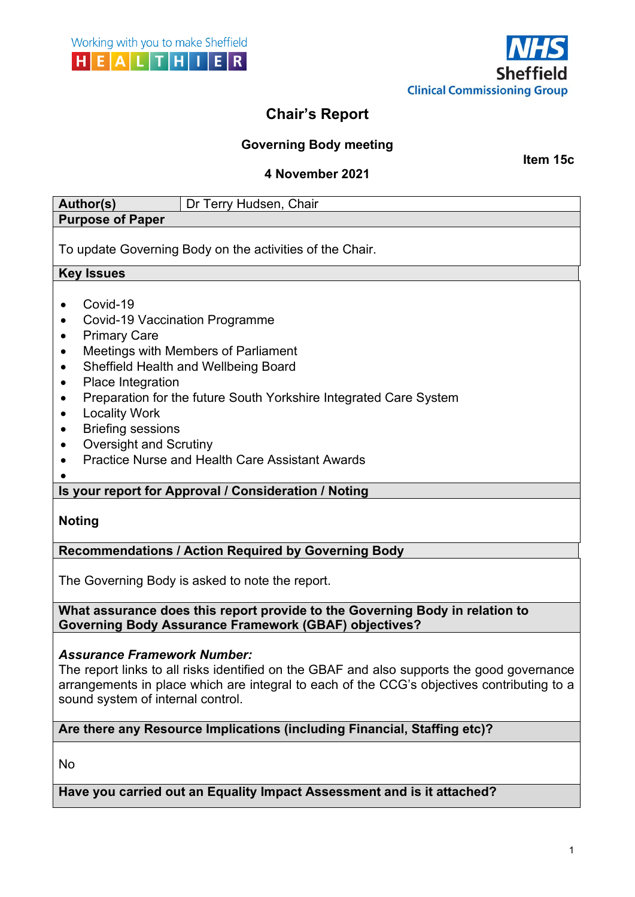

# **Chair's Report**

## **Governing Body meeting**

**Item 15c**

## **4 November 2021**

| <b>Author(s)</b><br>Dr Terry Hudsen, Chair                                                                                                                                                                                                                                                                                                                                                                                                       |
|--------------------------------------------------------------------------------------------------------------------------------------------------------------------------------------------------------------------------------------------------------------------------------------------------------------------------------------------------------------------------------------------------------------------------------------------------|
| <b>Purpose of Paper</b>                                                                                                                                                                                                                                                                                                                                                                                                                          |
| To update Governing Body on the activities of the Chair.                                                                                                                                                                                                                                                                                                                                                                                         |
| <b>Key Issues</b>                                                                                                                                                                                                                                                                                                                                                                                                                                |
| Covid-19<br><b>Covid-19 Vaccination Programme</b><br><b>Primary Care</b><br>٠<br><b>Meetings with Members of Parliament</b><br>Sheffield Health and Wellbeing Board<br>$\bullet$<br>Place Integration<br>٠<br>Preparation for the future South Yorkshire Integrated Care System<br><b>Locality Work</b><br>٠<br><b>Briefing sessions</b><br><b>Oversight and Scrutiny</b><br>$\bullet$<br><b>Practice Nurse and Health Care Assistant Awards</b> |
| Is your report for Approval / Consideration / Noting                                                                                                                                                                                                                                                                                                                                                                                             |
| <b>Noting</b>                                                                                                                                                                                                                                                                                                                                                                                                                                    |
| <b>Recommendations / Action Required by Governing Body</b>                                                                                                                                                                                                                                                                                                                                                                                       |
| The Governing Body is asked to note the report.                                                                                                                                                                                                                                                                                                                                                                                                  |
| What assurance does this report provide to the Governing Body in relation to<br><b>Governing Body Assurance Framework (GBAF) objectives?</b>                                                                                                                                                                                                                                                                                                     |
| <b>Assurance Framework Number:</b><br>The report links to all risks identified on the GBAF and also supports the good governance<br>arrangements in place which are integral to each of the CCG's objectives contributing to a<br>sound system of internal control.                                                                                                                                                                              |
| Are there any Resource Implications (including Financial, Staffing etc)?                                                                                                                                                                                                                                                                                                                                                                         |
|                                                                                                                                                                                                                                                                                                                                                                                                                                                  |

No

# **Have you carried out an Equality Impact Assessment and is it attached?**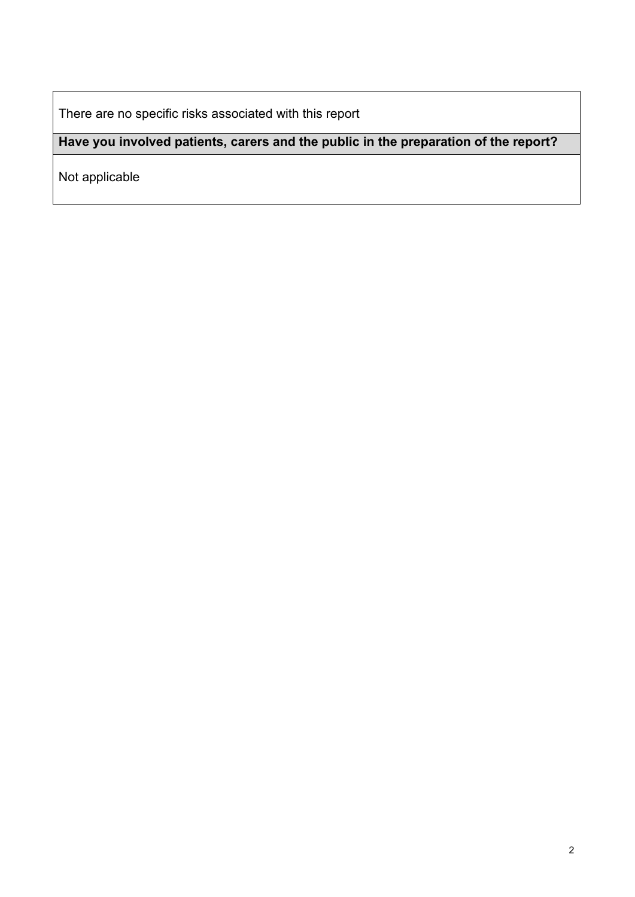There are no specific risks associated with this report

# **Have you involved patients, carers and the public in the preparation of the report?**

Not applicable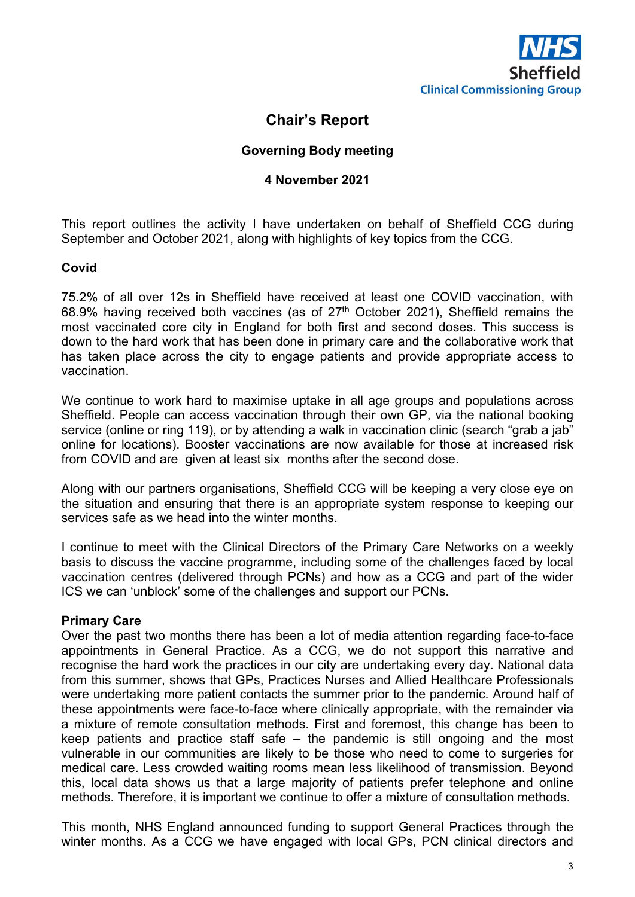

## **Chair's Report**

#### **Governing Body meeting**

#### **4 November 2021**

This report outlines the activity I have undertaken on behalf of Sheffield CCG during September and October 2021, along with highlights of key topics from the CCG.

#### **Covid**

75.2% of all over 12s in Sheffield have received at least one COVID vaccination, with 68.9% having received both vaccines (as of  $27<sup>th</sup>$  October 2021), Sheffield remains the most vaccinated core city in England for both first and second doses. This success is down to the hard work that has been done in primary care and the collaborative work that has taken place across the city to engage patients and provide appropriate access to vaccination.

We continue to work hard to maximise uptake in all age groups and populations across Sheffield. People can access vaccination through their own GP, via the national booking service (online or ring 119), or by attending a walk in vaccination clinic (search "grab a jab" online for locations). Booster vaccinations are now available for those at increased risk from COVID and are given at least six months after the second dose.

Along with our partners organisations, Sheffield CCG will be keeping a very close eye on the situation and ensuring that there is an appropriate system response to keeping our services safe as we head into the winter months.

I continue to meet with the Clinical Directors of the Primary Care Networks on a weekly basis to discuss the vaccine programme, including some of the challenges faced by local vaccination centres (delivered through PCNs) and how as a CCG and part of the wider ICS we can 'unblock' some of the challenges and support our PCNs.

#### **Primary Care**

Over the past two months there has been a lot of media attention regarding face-to-face appointments in General Practice. As a CCG, we do not support this narrative and recognise the hard work the practices in our city are undertaking every day. National data from this summer, shows that GPs, Practices Nurses and Allied Healthcare Professionals were undertaking more patient contacts the summer prior to the pandemic. Around half of these appointments were face-to-face where clinically appropriate, with the remainder via a mixture of remote consultation methods. First and foremost, this change has been to keep patients and practice staff safe – the pandemic is still ongoing and the most vulnerable in our communities are likely to be those who need to come to surgeries for medical care. Less crowded waiting rooms mean less likelihood of transmission. Beyond this, local data shows us that a large majority of patients prefer telephone and online methods. Therefore, it is important we continue to offer a mixture of consultation methods.

This month, NHS England announced funding to support General Practices through the winter months. As a CCG we have engaged with local GPs, PCN clinical directors and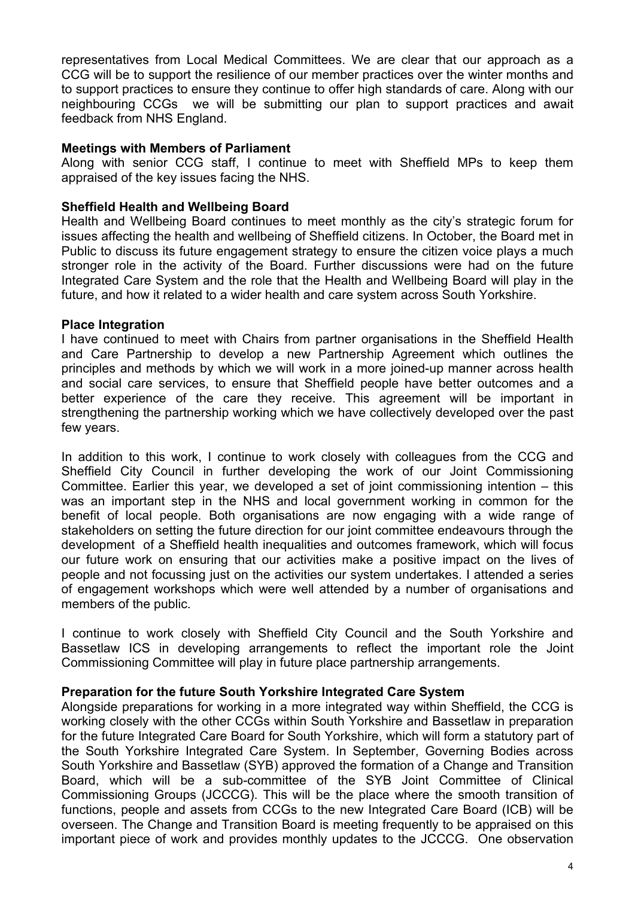representatives from Local Medical Committees. We are clear that our approach as a CCG will be to support the resilience of our member practices over the winter months and to support practices to ensure they continue to offer high standards of care. Along with our neighbouring CCGs we will be submitting our plan to support practices and await feedback from NHS England.

#### **Meetings with Members of Parliament**

Along with senior CCG staff, I continue to meet with Sheffield MPs to keep them appraised of the key issues facing the NHS.

#### **Sheffield Health and Wellbeing Board**

Health and Wellbeing Board continues to meet monthly as the city's strategic forum for issues affecting the health and wellbeing of Sheffield citizens. In October, the Board met in Public to discuss its future engagement strategy to ensure the citizen voice plays a much stronger role in the activity of the Board. Further discussions were had on the future Integrated Care System and the role that the Health and Wellbeing Board will play in the future, and how it related to a wider health and care system across South Yorkshire.

#### **Place Integration**

I have continued to meet with Chairs from partner organisations in the Sheffield Health and Care Partnership to develop a new Partnership Agreement which outlines the principles and methods by which we will work in a more joined-up manner across health and social care services, to ensure that Sheffield people have better outcomes and a better experience of the care they receive. This agreement will be important in strengthening the partnership working which we have collectively developed over the past few years.

In addition to this work, I continue to work closely with colleagues from the CCG and Sheffield City Council in further developing the work of our Joint Commissioning Committee. Earlier this year, we developed a set of joint commissioning intention – this was an important step in the NHS and local government working in common for the benefit of local people. Both organisations are now engaging with a wide range of stakeholders on setting the future direction for our joint committee endeavours through the development of a Sheffield health inequalities and outcomes framework, which will focus our future work on ensuring that our activities make a positive impact on the lives of people and not focussing just on the activities our system undertakes. I attended a series of engagement workshops which were well attended by a number of organisations and members of the public.

I continue to work closely with Sheffield City Council and the South Yorkshire and Bassetlaw ICS in developing arrangements to reflect the important role the Joint Commissioning Committee will play in future place partnership arrangements.

#### **Preparation for the future South Yorkshire Integrated Care System**

Alongside preparations for working in a more integrated way within Sheffield, the CCG is working closely with the other CCGs within South Yorkshire and Bassetlaw in preparation for the future Integrated Care Board for South Yorkshire, which will form a statutory part of the South Yorkshire Integrated Care System. In September, Governing Bodies across South Yorkshire and Bassetlaw (SYB) approved the formation of a Change and Transition Board, which will be a sub-committee of the SYB Joint Committee of Clinical Commissioning Groups (JCCCG). This will be the place where the smooth transition of functions, people and assets from CCGs to the new Integrated Care Board (ICB) will be overseen. The Change and Transition Board is meeting frequently to be appraised on this important piece of work and provides monthly updates to the JCCCG. One observation